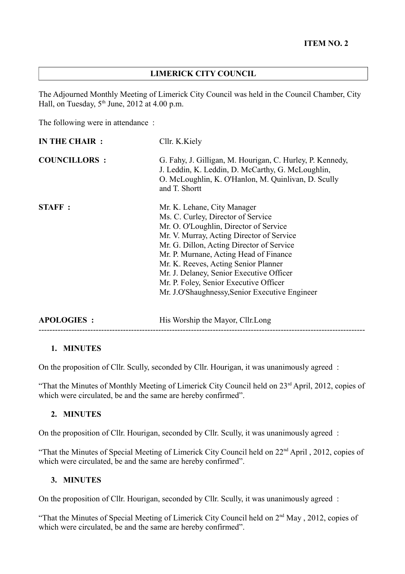#### **LIMERICK CITY COUNCIL**

The Adjourned Monthly Meeting of Limerick City Council was held in the Council Chamber, City Hall, on Tuesday,  $5<sup>th</sup>$  June, 2012 at 4.00 p.m.

The following were in attendance :

| <b>IN THE CHAIR :</b> | Cllr. K.Kiely                                                                                                                                                                                                                                                                                                                                                                                                                   |
|-----------------------|---------------------------------------------------------------------------------------------------------------------------------------------------------------------------------------------------------------------------------------------------------------------------------------------------------------------------------------------------------------------------------------------------------------------------------|
| <b>COUNCILLORS:</b>   | G. Fahy, J. Gilligan, M. Hourigan, C. Hurley, P. Kennedy,<br>J. Leddin, K. Leddin, D. McCarthy, G. McLoughlin,<br>O. McLoughlin, K. O'Hanlon, M. Quinlivan, D. Scully<br>and T. Shortt                                                                                                                                                                                                                                          |
| <b>STAFF:</b>         | Mr. K. Lehane, City Manager<br>Ms. C. Curley, Director of Service<br>Mr. O. O'Loughlin, Director of Service<br>Mr. V. Murray, Acting Director of Service<br>Mr. G. Dillon, Acting Director of Service<br>Mr. P. Murnane, Acting Head of Finance<br>Mr. K. Reeves, Acting Senior Planner<br>Mr. J. Delaney, Senior Executive Officer<br>Mr. P. Foley, Senior Executive Officer<br>Mr. J.O'Shaughnessy, Senior Executive Engineer |
| <b>APOLOGIES:</b>     | His Worship the Mayor, Cllr.Long                                                                                                                                                                                                                                                                                                                                                                                                |

#### **1. MINUTES**

On the proposition of Cllr. Scully, seconded by Cllr. Hourigan, it was unanimously agreed :

"That the Minutes of Monthly Meeting of Limerick City Council held on 23<sup>rd</sup> April, 2012, copies of which were circulated, be and the same are hereby confirmed".

------------------------------------------------------------------------------------------------------------------------

#### **2. MINUTES**

On the proposition of Cllr. Hourigan, seconded by Cllr. Scully, it was unanimously agreed :

"That the Minutes of Special Meeting of Limerick City Council held on 22nd April , 2012, copies of which were circulated, be and the same are hereby confirmed".

#### **3. MINUTES**

On the proposition of Cllr. Hourigan, seconded by Cllr. Scully, it was unanimously agreed :

"That the Minutes of Special Meeting of Limerick City Council held on  $2<sup>nd</sup>$  May, 2012, copies of which were circulated, be and the same are hereby confirmed".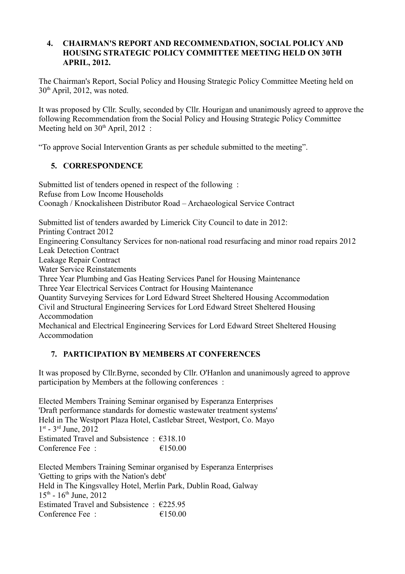### **4. CHAIRMAN'S REPORT AND RECOMMENDATION, SOCIAL POLICY AND HOUSING STRATEGIC POLICY COMMITTEE MEETING HELD ON 30TH APRIL, 2012.**

The Chairman's Report, Social Policy and Housing Strategic Policy Committee Meeting held on 30th April, 2012, was noted.

It was proposed by Cllr. Scully, seconded by Cllr. Hourigan and unanimously agreed to approve the following Recommendation from the Social Policy and Housing Strategic Policy Committee Meeting held on  $30<sup>th</sup>$  April, 2012 :

"To approve Social Intervention Grants as per schedule submitted to the meeting".

# **5. CORRESPONDENCE**

Submitted list of tenders opened in respect of the following : Refuse from Low Income Households Coonagh / Knockalisheen Distributor Road – Archaeological Service Contract

Submitted list of tenders awarded by Limerick City Council to date in 2012:

Printing Contract 2012

Engineering Consultancy Services for non-national road resurfacing and minor road repairs 2012 Leak Detection Contract

Leakage Repair Contract

Water Service Reinstatements

Three Year Plumbing and Gas Heating Services Panel for Housing Maintenance Three Year Electrical Services Contract for Housing Maintenance

Quantity Surveying Services for Lord Edward Street Sheltered Housing Accommodation Civil and Structural Engineering Services for Lord Edward Street Sheltered Housing Accommodation

Mechanical and Electrical Engineering Services for Lord Edward Street Sheltered Housing Accommodation

# **7. PARTICIPATION BY MEMBERS AT CONFERENCES**

It was proposed by Cllr.Byrne, seconded by Cllr. O'Hanlon and unanimously agreed to approve participation by Members at the following conferences :

Elected Members Training Seminar organised by Esperanza Enterprises 'Draft performance standards for domestic wastewater treatment systems' Held in The Westport Plaza Hotel, Castlebar Street, Westport, Co. Mayo 1<sup>st</sup> - 3<sup>rd</sup> June, 2012 Estimated Travel and Subsistence : €318.10 Conference Fee  $\cdot$   $\epsilon$  150.00

Elected Members Training Seminar organised by Esperanza Enterprises 'Getting to grips with the Nation's debt' Held in The Kingsvalley Hotel, Merlin Park, Dublin Road, Galway  $15^{th}$  -  $16^{th}$  June,  $2012$ Estimated Travel and Subsistence  $\cdot$  €225.95 Conference Fee :  $\epsilon$  150.00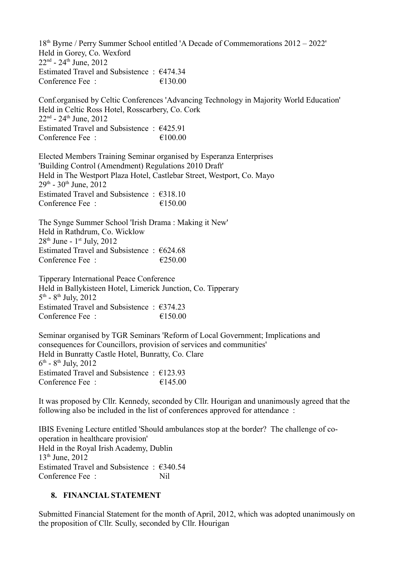18th Byrne / Perry Summer School entitled 'A Decade of Commemorations 2012 – 2022' Held in Gorey, Co. Wexford  $22<sup>nd</sup>$  -  $24<sup>th</sup>$  June,  $2012$ Estimated Travel and Subsistence : €474.34 Conference Fee  $\cdot$   $\epsilon$  130.00

Conf.organised by Celtic Conferences 'Advancing Technology in Majority World Education' Held in Celtic Ross Hotel, Rosscarbery, Co. Cork  $22<sup>nd</sup> - 24<sup>th</sup> June, 2012$ Estimated Travel and Subsistence : €425.91 Conference Fee :  $\epsilon$  =  $\epsilon$  100.00

Elected Members Training Seminar organised by Esperanza Enterprises 'Building Control (Amendment) Regulations 2010 Draft' Held in The Westport Plaza Hotel, Castlebar Street, Westport, Co. Mayo  $29<sup>th</sup>$  - 30<sup>th</sup> June, 2012 Estimated Travel and Subsistence : €318.10 Conference Fee :  $\epsilon$  =  $\epsilon$  150.00

The Synge Summer School 'Irish Drama : Making it New' Held in Rathdrum, Co. Wicklow  $28<sup>th</sup>$  June - 1<sup>st</sup> July, 2012 Estimated Travel and Subsistence  $\cdot$  €624.68 Conference Fee :  $\epsilon$  250.00

Tipperary International Peace Conference Held in Ballykisteen Hotel, Limerick Junction, Co. Tipperary  $5^{\text{th}}$  -  $8^{\text{th}}$  July, 2012 Estimated Travel and Subsistence :  $\epsilon$ 374.23 Conference Fee :  $\epsilon$  = 6150.00

Seminar organised by TGR Seminars 'Reform of Local Government; Implications and consequences for Councillors, provision of services and communities' Held in Bunratty Castle Hotel, Bunratty, Co. Clare  $6^{\text{th}}$  -  $8^{\text{th}}$  July, 2012 Estimated Travel and Subsistence :  $€123.93$ Conference Fee :  $\epsilon$  =  $\epsilon$  145.00

It was proposed by Cllr. Kennedy, seconded by Cllr. Hourigan and unanimously agreed that the following also be included in the list of conferences approved for attendance :

IBIS Evening Lecture entitled 'Should ambulances stop at the border? The challenge of cooperation in healthcare provision' Held in the Royal Irish Academy, Dublin 13<sup>th</sup> June, 2012 Estimated Travel and Subsistence : €340.54 Conference Fee : Nil

## **8. FINANCIAL STATEMENT**

Submitted Financial Statement for the month of April, 2012, which was adopted unanimously on the proposition of Cllr. Scully, seconded by Cllr. Hourigan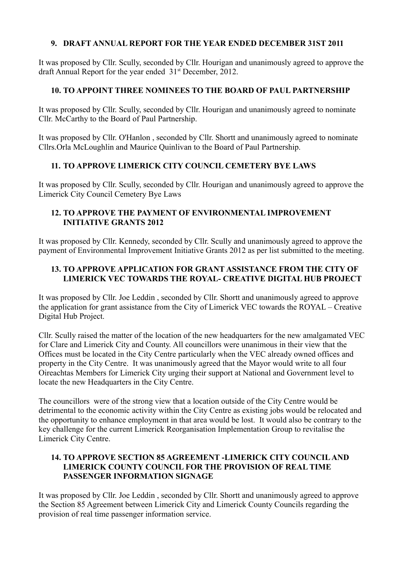## **9. DRAFT ANNUAL REPORT FOR THE YEAR ENDED DECEMBER 31ST 2011**

It was proposed by Cllr. Scully, seconded by Cllr. Hourigan and unanimously agreed to approve the draft Annual Report for the year ended  $31<sup>st</sup>$  December, 2012.

## **10. TO APPOINT THREE NOMINEES TO THE BOARD OF PAUL PARTNERSHIP**

It was proposed by Cllr. Scully, seconded by Cllr. Hourigan and unanimously agreed to nominate Cllr. McCarthy to the Board of Paul Partnership.

It was proposed by Cllr. O'Hanlon , seconded by Cllr. Shortt and unanimously agreed to nominate Cllrs.Orla McLoughlin and Maurice Quinlivan to the Board of Paul Partnership.

# **11. TO APPROVE LIMERICK CITY COUNCIL CEMETERY BYE LAWS**

It was proposed by Cllr. Scully, seconded by Cllr. Hourigan and unanimously agreed to approve the Limerick City Council Cemetery Bye Laws

## **12. TO APPROVE THE PAYMENT OF ENVIRONMENTAL IMPROVEMENT INITIATIVE GRANTS 2012**

It was proposed by Cllr. Kennedy, seconded by Cllr. Scully and unanimously agreed to approve the payment of Environmental Improvement Initiative Grants 2012 as per list submitted to the meeting.

# **13. TO APPROVE APPLICATION FOR GRANT ASSISTANCE FROM THE CITY OF LIMERICK VEC TOWARDS THE ROYAL- CREATIVE DIGITAL HUB PROJECT**

It was proposed by Cllr. Joe Leddin , seconded by Cllr. Shortt and unanimously agreed to approve the application for grant assistance from the City of Limerick VEC towards the ROYAL – Creative Digital Hub Project.

Cllr. Scully raised the matter of the location of the new headquarters for the new amalgamated VEC for Clare and Limerick City and County. All councillors were unanimous in their view that the Offices must be located in the City Centre particularly when the VEC already owned offices and property in the City Centre. It was unanimously agreed that the Mayor would write to all four Oireachtas Members for Limerick City urging their support at National and Government level to locate the new Headquarters in the City Centre.

The councillors were of the strong view that a location outside of the City Centre would be detrimental to the economic activity within the City Centre as existing jobs would be relocated and the opportunity to enhance employment in that area would be lost. It would also be contrary to the key challenge for the current Limerick Reorganisation Implementation Group to revitalise the Limerick City Centre.

## **14. TO APPROVE SECTION 85 AGREEMENT -LIMERICK CITY COUNCIL AND LIMERICK COUNTY COUNCIL FOR THE PROVISION OF REAL TIME PASSENGER INFORMATION SIGNAGE**

It was proposed by Cllr. Joe Leddin , seconded by Cllr. Shortt and unanimously agreed to approve the Section 85 Agreement between Limerick City and Limerick County Councils regarding the provision of real time passenger information service.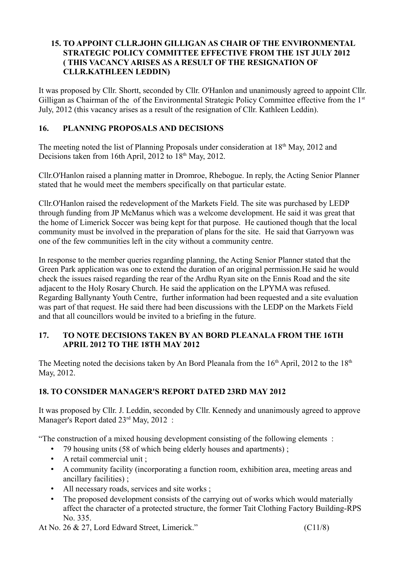## **15. TO APPOINT CLLR.JOHN GILLIGAN AS CHAIR OF THE ENVIRONMENTAL STRATEGIC POLICY COMMITTEE EFFECTIVE FROM THE 1ST JULY 2012 ( THIS VACANCY ARISES AS A RESULT OF THE RESIGNATION OF CLLR.KATHLEEN LEDDIN)**

It was proposed by Cllr. Shortt, seconded by Cllr. O'Hanlon and unanimously agreed to appoint Cllr. Gilligan as Chairman of the of the Environmental Strategic Policy Committee effective from the 1<sup>st</sup> July, 2012 (this vacancy arises as a result of the resignation of Cllr. Kathleen Leddin).

# **16. PLANNING PROPOSALS AND DECISIONS**

The meeting noted the list of Planning Proposals under consideration at 18<sup>th</sup> May, 2012 and Decisions taken from 16th April, 2012 to 18<sup>th</sup> May, 2012.

Cllr.O'Hanlon raised a planning matter in Dromroe, Rhebogue. In reply, the Acting Senior Planner stated that he would meet the members specifically on that particular estate.

Cllr.O'Hanlon raised the redevelopment of the Markets Field. The site was purchased by LEDP through funding from JP McManus which was a welcome development. He said it was great that the home of Limerick Soccer was being kept for that purpose. He cautioned though that the local community must be involved in the preparation of plans for the site. He said that Garryown was one of the few communities left in the city without a community centre.

In response to the member queries regarding planning, the Acting Senior Planner stated that the Green Park application was one to extend the duration of an original permission.He said he would check the issues raised regarding the rear of the Ardhu Ryan site on the Ennis Road and the site adjacent to the Holy Rosary Church. He said the application on the LPYMA was refused. Regarding Ballynanty Youth Centre, further information had been requested and a site evaluation was part of that request. He said there had been discussions with the LEDP on the Markets Field and that all councillors would be invited to a briefing in the future.

# **17. TO NOTE DECISIONS TAKEN BY AN BORD PLEANALA FROM THE 16TH APRIL 2012 TO THE 18TH MAY 2012**

The Meeting noted the decisions taken by An Bord Pleanala from the  $16<sup>th</sup>$  April, 2012 to the  $18<sup>th</sup>$ May, 2012.

# **18. TO CONSIDER MANAGER'S REPORT DATED 23RD MAY 2012**

It was proposed by Cllr. J. Leddin, seconded by Cllr. Kennedy and unanimously agreed to approve Manager's Report dated 23<sup>rd</sup> May, 2012 :

"The construction of a mixed housing development consisting of the following elements :

- 79 housing units (58 of which being elderly houses and apartments) ;
- A retail commercial unit ;
- A community facility (incorporating a function room, exhibition area, meeting areas and ancillary facilities) ;
- All necessary roads, services and site works;
- The proposed development consists of the carrying out of works which would materially affect the character of a protected structure, the former Tait Clothing Factory Building-RPS No. 335.

At No. 26  $\&$  27, Lord Edward Street, Limerick."  $(C11/8)$